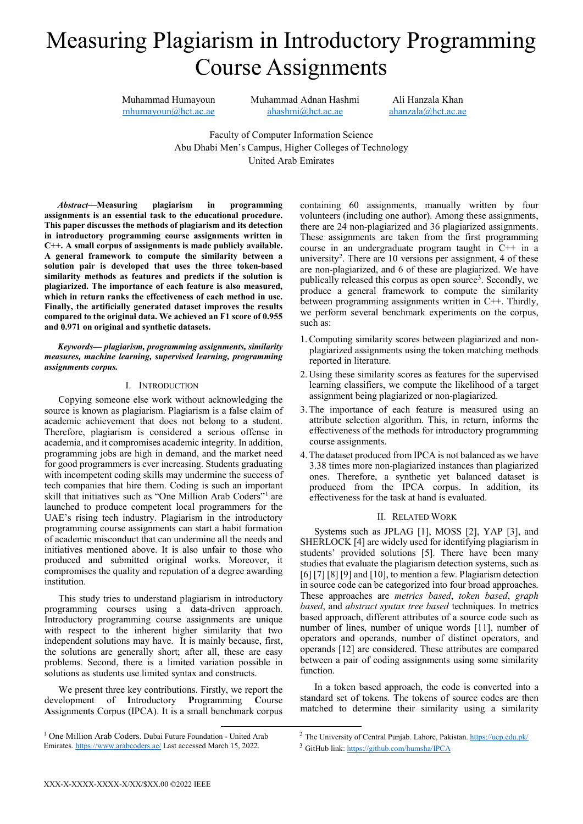# Measuring Plagiarism in Introductory Programming Course Assignments

Muhammad Humayoun [mhumayoun@hct.ac.ae](mailto:mhumayoun@hct.ac.ae)  Muhammad Adnan Hashmi [ahashmi@hct.ac.ae](mailto:ahashmi@hct.ac.ae) 

Ali Hanzala Khan [ahanzala@hct.ac.ae](mailto:ahanzala@hct.ac.ae) 

Faculty of Computer Information Science Abu Dhabi Men's Campus, Higher Colleges of Technology United Arab Emirates

*Abstract***—Measuring plagiarism in programming assignments is an essential task to the educational procedure. This paper discusses the methods of plagiarism and its detection in introductory programming course assignments written in C++. A small corpus of assignments is made publicly available. A general framework to compute the similarity between a solution pair is developed that uses the three token-based similarity methods as features and predicts if the solution is plagiarized. The importance of each feature is also measured, which in return ranks the effectiveness of each method in use. Finally, the artificially generated dataset improves the results compared to the original data. We achieved an F1 score of 0.955 and 0.971 on original and synthetic datasets.**

*Keywords— plagiarism, programming assignments, similarity measures, machine learning, supervised learning, programming assignments corpus.* 

## I. INTRODUCTION

Copying someone else work without acknowledging the source is known as plagiarism. Plagiarism is a false claim of academic achievement that does not belong to a student. Therefore, plagiarism is considered a serious offense in academia, and it compromises academic integrity. In addition, programming jobs are high in demand, and the market need for good programmers is ever increasing. Students graduating with incompetent coding skills may undermine the success of tech companies that hire them. Coding is such an important skill that initiatives such as "One Million Arab Coders"<sup>[1](#page-0-0)</sup> are launched to produce competent local programmers for the UAE's rising tech industry. Plagiarism in the introductory programming course assignments can start a habit formation of academic misconduct that can undermine all the needs and initiatives mentioned above. It is also unfair to those who produced and submitted original works. Moreover, it compromises the quality and reputation of a degree awarding institution.

This study tries to understand plagiarism in introductory programming courses using a data-driven approach. Introductory programming course assignments are unique with respect to the inherent higher similarity that two independent solutions may have. It is mainly because, first, the solutions are generally short; after all, these are easy problems. Second, there is a limited variation possible in solutions as students use limited syntax and constructs.

We present three key contributions. Firstly, we report the development of **I**ntroductory **P**rogramming **C**ourse **A**ssignments Corpus (IPCA). It is a small benchmark corpus

<span id="page-0-1"></span><span id="page-0-0"></span> 1 One Million Arab Coders. Dubai Future Foundation - United Arab Emirates[. https://www.arabcoders.ae/](https://www.arabcoders.ae/) Last accessed March 15, 2022.

containing 60 assignments, manually written by four volunteers (including one author). Among these assignments, there are 24 non-plagiarized and 36 plagiarized assignments. These assignments are taken from the first programming course in an undergraduate program taught in C++ in a university<sup>[2](#page-0-0)</sup>. There are 10 versions per assignment, 4 of these are non-plagiarized, and 6 of these are plagiarized. We have publically released this corpus as open source<sup>[3](#page-0-1)</sup>. Secondly, we produce a general framework to compute the similarity between programming assignments written in C++. Thirdly, we perform several benchmark experiments on the corpus, such as:

- 1.Computing similarity scores between plagiarized and nonplagiarized assignments using the token matching methods reported in literature.
- 2. Using these similarity scores as features for the supervised learning classifiers, we compute the likelihood of a target assignment being plagiarized or non-plagiarized.
- 3.The importance of each feature is measured using an attribute selection algorithm. This, in return, informs the effectiveness of the methods for introductory programming course assignments.
- 4.The dataset produced from IPCA is not balanced as we have 3.38 times more non-plagiarized instances than plagiarized ones. Therefore, a synthetic yet balanced dataset is produced from the IPCA corpus. In addition, its effectiveness for the task at hand is evaluated.

# II. RELATED WORK

Systems such as JPLAG [1], MOSS [2], YAP [3], and SHERLOCK [4] are widely used for identifying plagiarism in students' provided solutions [5]. There have been many studies that evaluate the plagiarism detection systems, such as [6] [7] [8] [9] and [10], to mention a few. Plagiarism detection in source code can be categorized into four broad approaches. These approaches are *metrics based*, *token based*, *graph based*, and *abstract syntax tree based* techniques. In metrics based approach, different attributes of a source code such as number of lines, number of unique words [11], number of operators and operands, number of distinct operators, and operands [12] are considered. These attributes are compared between a pair of coding assignments using some similarity function.

In a token based approach, the code is converted into a standard set of tokens. The tokens of source codes are then matched to determine their similarity using a similarity

<sup>&</sup>lt;sup>2</sup> The University of Central Punjab. Lahore, Pakistan. <https://ucp.edu.pk/><sup>3</sup> GitHub link[: https://github.com/humsha/IPCA](https://github.com/humsha/IPCA)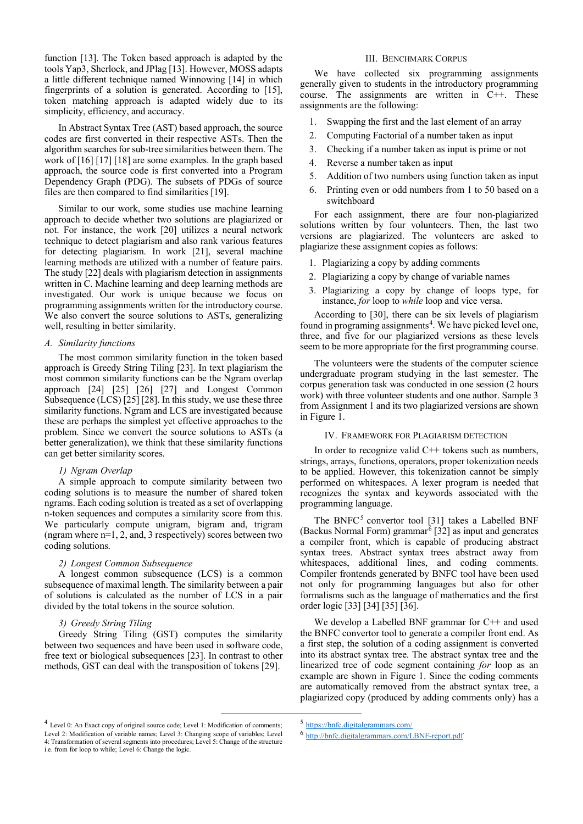function [13]. The Token based approach is adapted by the tools Yap3, Sherlock, and JPlag [13]. However, MOSS adapts a little different technique named Winnowing [14] in which fingerprints of a solution is generated. According to [15], token matching approach is adapted widely due to its simplicity, efficiency, and accuracy.

In Abstract Syntax Tree (AST) based approach, the source codes are first converted in their respective ASTs. Then the algorithm searches for sub-tree similarities between them. The work of [16] [17] [18] are some examples. In the graph based approach, the source code is first converted into a Program Dependency Graph (PDG). The subsets of PDGs of source files are then compared to find similarities [19].

Similar to our work, some studies use machine learning approach to decide whether two solutions are plagiarized or not. For instance, the work [20] utilizes a neural network technique to detect plagiarism and also rank various features for detecting plagiarism. In work [21], several machine learning methods are utilized with a number of feature pairs. The study [22] deals with plagiarism detection in assignments written in C. Machine learning and deep learning methods are investigated. Our work is unique because we focus on programming assignments written for the introductory course. We also convert the source solutions to ASTs, generalizing well, resulting in better similarity.

# *A. Similarity functions*

The most common similarity function in the token based approach is Greedy String Tiling [23]. In text plagiarism the most common similarity functions can be the Ngram overlap approach [24] [25] [26] [27] and Longest Common Subsequence (LCS) [25] [28]. In this study, we use these three similarity functions. Ngram and LCS are investigated because these are perhaps the simplest yet effective approaches to the problem. Since we convert the source solutions to ASTs (a better generalization), we think that these similarity functions can get better similarity scores.

## *1) Ngram Overlap*

A simple approach to compute similarity between two coding solutions is to measure the number of shared token ngrams. Each coding solution is treated as a set of overlapping n-token sequences and computes a similarity score from this. We particularly compute unigram, bigram and, trigram (ngram where n=1, 2, and, 3 respectively) scores between two coding solutions.

## *2) Longest Common Subsequence*

A longest common subsequence (LCS) is a common subsequence of maximal length. The similarity between a pair of solutions is calculated as the number of LCS in a pair divided by the total tokens in the source solution.

#### *3) Greedy String Tiling*

Greedy String Tiling (GST) computes the similarity between two sequences and have been used in software code, free text or biological subsequences [23]. In contrast to other methods, GST can deal with the transposition of tokens [29].

## III. BENCHMARK CORPUS

We have collected six programming assignments generally given to students in the introductory programming course. The assignments are written in C++. These assignments are the following:

- 1. Swapping the first and the last element of an array
- 2. Computing Factorial of a number taken as input
- 3. Checking if a number taken as input is prime or not
- 4. Reverse a number taken as input
- 5. Addition of two numbers using function taken as input
- 6. Printing even or odd numbers from 1 to 50 based on a switchboard

For each assignment, there are four non-plagiarized solutions written by four volunteers. Then, the last two versions are plagiarized. The volunteers are asked to plagiarize these assignment copies as follows:

- 1. Plagiarizing a copy by adding comments
- 2. Plagiarizing a copy by change of variable names
- 3. Plagiarizing a copy by change of loops type, for instance, *for* loop to *while* loop and vice versa.

According to [30], there can be six levels of plagiarism found in programing assignments<sup>[4](#page-1-0)</sup>. We have picked level one, three, and five for our plagiarized versions as these levels seem to be more appropriate for the first programming course.

The volunteers were the students of the computer science undergraduate program studying in the last semester. The corpus generation task was conducted in one session (2 hours work) with three volunteer students and one author. Sample 3 from Assignment 1 and its two plagiarized versions are shown in Figure 1.

## IV. FRAMEWORK FOR PLAGIARISM DETECTION

In order to recognize valid  $C++$  tokens such as numbers, strings, arrays, functions, operators, proper tokenization needs to be applied. However, this tokenization cannot be simply performed on whitespaces. A lexer program is needed that recognizes the syntax and keywords associated with the programming language.

The BNFC<sup>[5](#page-1-0)</sup> convertor tool [31] takes a Labelled BNF (Backus Normal Form) grammar<sup> $6$ </sup> [32] as input and generates a compiler front, which is capable of producing abstract syntax trees. Abstract syntax trees abstract away from whitespaces, additional lines, and coding comments. Compiler frontends generated by BNFC tool have been used not only for programming languages but also for other formalisms such as the language of mathematics and the first order logic [33] [34] [35] [36].

We develop a Labelled BNF grammar for C++ and used the BNFC convertor tool to generate a compiler front end. As a first step, the solution of a coding assignment is converted into its abstract syntax tree. The abstract syntax tree and the linearized tree of code segment containing *for* loop as an example are shown in Figure 1. Since the coding comments are automatically removed from the abstract syntax tree, a plagiarized copy (produced by adding comments only) has a

<span id="page-1-1"></span><span id="page-1-0"></span> <sup>4</sup> Level 0: An Exact copy of original source code; Level 1: Modification of comments; Level 2: Modification of variable names; Level 3: Changing scope of variables; Level 4: Transformation of several segments into procedures; Level 5: Change of the structure i.e. from for loop to while; Level 6: Change the logic.

<sup>5</sup> <https://bnfc.digitalgrammars.com/>

<sup>6</sup> <http://bnfc.digitalgrammars.com/LBNF-report.pdf>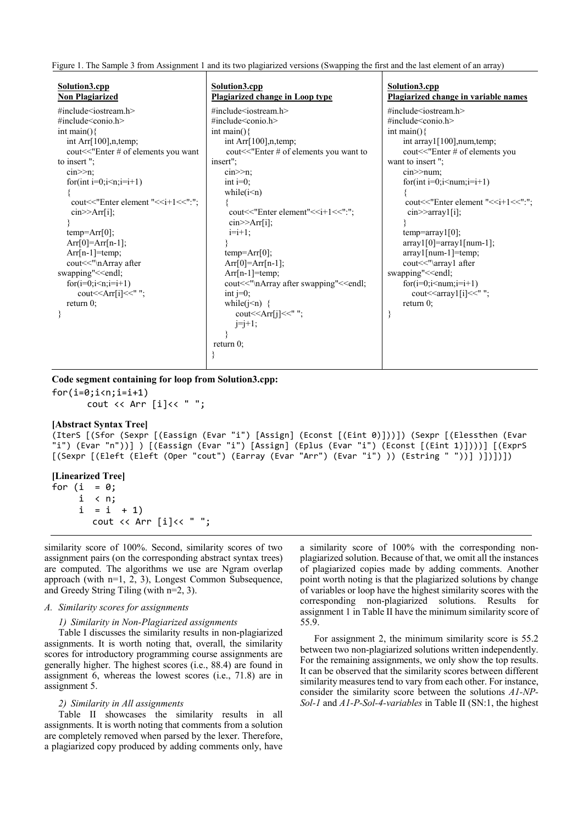Figure 1. The Sample 3 from Assignment 1 and its two plagiarized versions (Swapping the first and the last element of an array)

| Solution3.cpp<br><b>Non Plagiarized</b>                                                                                                                                                                                                                                                                                                                                                                                                                                                                                                                                                                                                                                                                               | Solution3.cpp<br>Plagiarized change in Loop type                                                                                                                                                                                                                                                                                                                                                                                                                                                                                                                                                                                                                                                                                                                                                                         | Solution3.cpp<br>Plagiarized change in variable names                                                                                                                                                                                                                                                                                                                                                                                                                                                                                                                                                                                                                                                   |
|-----------------------------------------------------------------------------------------------------------------------------------------------------------------------------------------------------------------------------------------------------------------------------------------------------------------------------------------------------------------------------------------------------------------------------------------------------------------------------------------------------------------------------------------------------------------------------------------------------------------------------------------------------------------------------------------------------------------------|--------------------------------------------------------------------------------------------------------------------------------------------------------------------------------------------------------------------------------------------------------------------------------------------------------------------------------------------------------------------------------------------------------------------------------------------------------------------------------------------------------------------------------------------------------------------------------------------------------------------------------------------------------------------------------------------------------------------------------------------------------------------------------------------------------------------------|---------------------------------------------------------------------------------------------------------------------------------------------------------------------------------------------------------------------------------------------------------------------------------------------------------------------------------------------------------------------------------------------------------------------------------------------------------------------------------------------------------------------------------------------------------------------------------------------------------------------------------------------------------------------------------------------------------|
| $\#$ include <iostream.h><br/>#include<math>\le</math>conio.h&gt;<br/>int main()<math>\{</math><br/>int Arr<math>[100]</math>, n, temp;<br/>cout&lt;&lt;"Enter # of elements you want<br/>to insert";<br/><math>\text{cin} \geq \geq \text{n}:</math><br/>for(int <math>i=0; i \leq n; i=i+1</math>)<br/>cout&lt;&lt;"Enter element "&lt;<i+1<<":";<br><math>\text{cin} \geq \text{Arr}[i];</math><br/><math>temp = Arr[0];</math><br/><math>Arr[0]=Arr[n-1];</math><br/><math>Arr[n-1] = temp;</math><br/>cout&lt;&lt;"\nArray after<br/>swapping"&lt;<endl;<br>for<math>(i=0; i \le n; i=i+1)</math><br/>cout &lt;&lt; Arr[i] &lt;&lt; " ";<br/>return <math>0</math>;<br/>₹</endl;<br></i+1<<":";<br></iostream.h> | $\#$ include <iostream.h><br/><math>\#</math>include <math>\le</math>conio.h <math>&gt;</math><br/>int main()<math>\{</math><br/>int Arr<math>[100]</math>, n, temp;<br/>cout&lt;&lt;"Enter # of elements you want to<br/>insert":<br/><math>\text{cin} \geq \text{m}</math><br/>int <math>i=0</math>:<br/>while<math>(i\leq n)</math><br/>cout&lt;&lt;"Enter element"&lt;<i+1<<":";<br><math>\text{cin} \geq \text{Arr}[i];</math><br/><math>i=i+1</math>;<br/><math>temp = Arr[0];</math><br/><math>Arr[0]=Arr[n-1];</math><br/><math>Arr[n-1] = temp;</math><br/>cout&lt;&lt;"\nArray after swapping"&lt;<endl;<br>int <math>j=0</math>;<br/>while(<math>i\leq n</math>) {<br/>cout<math>\le</math>Arr[j]<math>\le</math>";<br/><math>j=j+1;</math><br/>return <math>0</math>;</endl;<br></i+1<<":";<br></iostream.h> | $\#$ include <iostream.h><br/><math>\#</math>include<math>\le</math>conio.h&gt;<br/>int main()<math>\{</math><br/>int array1[100],num,temp;<br/>cout&lt;&lt;"Enter # of elements you<br/>want to insert";<br/><math>cin</math> <math>&gt;</math><math>num</math>:<br/>for(int <math>i=0; i \leq num; i=i+1</math>)<br/>cout&lt;&lt;"Enter element "&lt;<i+1<<":";<br><math>\text{cin} \geq \text{array1[i]}</math><br/><math>temp = array1[0];</math><br/><math>array1[0] = array1[num-1];</math><br/><math>array1</math>[num-1]=temp;<br/>cout&lt;&lt;"\array1 after<br/>swapping"&lt;<endl;<br><math>for(i=0;i\le num;i=i+1)</math><br/>return <math>0</math>;</endl;<br></i+1<<":";<br></iostream.h> |
|                                                                                                                                                                                                                                                                                                                                                                                                                                                                                                                                                                                                                                                                                                                       |                                                                                                                                                                                                                                                                                                                                                                                                                                                                                                                                                                                                                                                                                                                                                                                                                          |                                                                                                                                                                                                                                                                                                                                                                                                                                                                                                                                                                                                                                                                                                         |

**Code segment containing for loop from Solution3.cpp:**

```
for(i=0:i<n:i=i+1)cout << Arr [i]<< " ";
```
#### **[Abstract Syntax Tree]**

(IterS [(Sfor (Sexpr [(Eassign (Evar "i") [Assign] (Econst [(Eint 0)]))]) (Sexpr [(Elessthen (Evar "i") (Evar "n"))] ) [(Eassign (Evar "i") [Assign] (Eplus (Evar "i") (Econst [(Eint 1)])))] [(ExprS [(Sexpr [(Eleft (Eleft (Oper "cout") (Earray (Evar "Arr") (Evar "i") )) (Estring " "))] )])])])

## **[Linearized Tree]**

for  $(i = 0;$  i < n;  $i = i + 1$ cout << Arr [i]<< " ";

similarity score of 100%. Second, similarity scores of two assignment pairs (on the corresponding abstract syntax trees) are computed. The algorithms we use are Ngram overlap approach (with n=1, 2, 3), Longest Common Subsequence, and Greedy String Tiling (with n=2, 3).

## *A. Similarity scores for assignments*

#### *1) Similarity in Non-Plagiarized assignments*

Table I discusses the similarity results in non-plagiarized assignments. It is worth noting that, overall, the similarity scores for introductory programming course assignments are generally higher. The highest scores (i.e., 88.4) are found in assignment 6, whereas the lowest scores (i.e., 71.8) are in assignment 5.

#### *2) Similarity in All assignments*

Table II showcases the similarity results in all assignments. It is worth noting that comments from a solution are completely removed when parsed by the lexer. Therefore, a plagiarized copy produced by adding comments only, have a similarity score of 100% with the corresponding nonplagiarized solution. Because of that, we omit all the instances of plagiarized copies made by adding comments. Another point worth noting is that the plagiarized solutions by change of variables or loop have the highest similarity scores with the corresponding non-plagiarized solutions. Results for assignment 1 in Table II have the minimum similarity score of 55.9.

For assignment 2, the minimum similarity score is 55.2 between two non-plagiarized solutions written independently. For the remaining assignments, we only show the top results. It can be observed that the similarity scores between different similarity measures tend to vary from each other. For instance, consider the similarity score between the solutions *A1-NP-Sol-1* and *A1-P-Sol-4-variables* in Table II (SN:1, the highest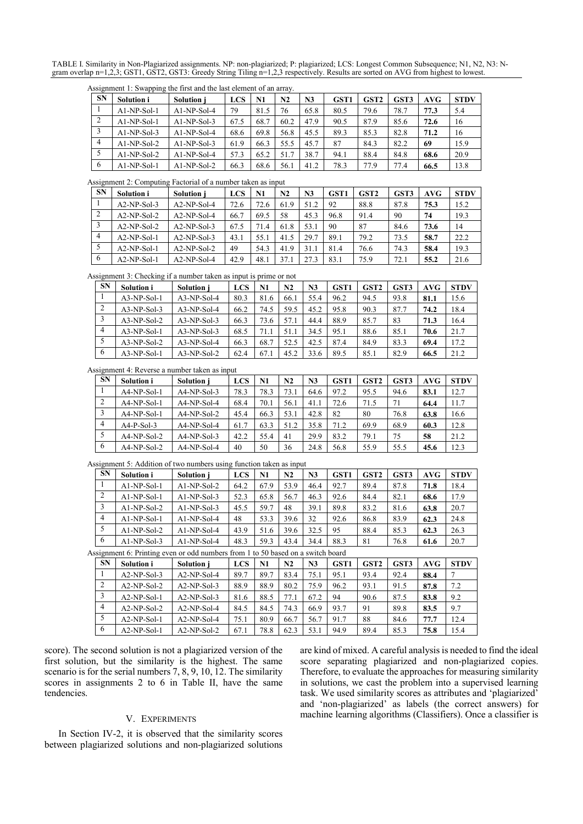TABLE I. Similarity in Non-Plagiarized assignments. NP: non-plagiarized; P: plagiarized; LCS: Longest Common Subsequence; N1, N2, N3: Ngram overlap n=1,2,3; GST1, GST2, GST3: Greedy String Tiling n=1,2,3 respectively. Results are sorted on AVG from highest to lowest.

|                |               | Assignment 1: Swapping the first and the last element of an array. |      |      |      |                |                  |                  |      |      |             |
|----------------|---------------|--------------------------------------------------------------------|------|------|------|----------------|------------------|------------------|------|------|-------------|
| <b>SN</b>      | Solution i    | <b>Solution</b> i                                                  | LCS  | N1   | N2   | N <sub>3</sub> | GST <sub>1</sub> | GST <sub>2</sub> | GST3 | AVG  | <b>STDV</b> |
|                | $AI-NP-Sol-1$ | $A1-NP-Sol-4$                                                      | 79   | 81.5 | 76   | 65.8           | 80.5             | 79.6             | 78.7 | 77.3 | 5.4         |
| 2              | $AI-NP-Sol-1$ | $AI-NP-Sol-3$                                                      | 67.5 | 68.7 | 60.2 | 47.9           | 90.5             | 87.9             | 85.6 | 72.6 | 16          |
| 3              | $AI-NP-Sol-3$ | $A1-NP-Sol-4$                                                      | 68.6 | 69.8 | 56.8 | 45.5           | 89.3             | 85.3             | 82.8 | 71.2 | 16          |
| $\overline{4}$ | $A1-NP-Sol-2$ | $AI-NP-Sol-3$                                                      | 61.9 | 66.3 | 55.5 | 45.7           | 87               | 84.3             | 82.2 | 69   | 15.9        |
|                | $A1-NP-Sol-2$ | $A1-NP-Sol-4$                                                      | 57.3 | 65.2 | 51.7 | 38.7           | 94.1             | 88.4             | 84.8 | 68.6 | 20.9        |
| 6              | $A1-NP-Sol-1$ | $A1-NP-Sol-2$                                                      | 66.3 | 68.6 | 56.1 | 41.2           | 78.3             | 77.9             | 77.4 | 66.5 | 13.8        |

Assignment  $1:$  Swapping the first and the last element of

Assignment 2: Computing Factorial of a number taken as input

| J              |               |                   |            |      |      |      |                  |                  |      |            |             |
|----------------|---------------|-------------------|------------|------|------|------|------------------|------------------|------|------------|-------------|
| <b>SN</b>      | Solution i    | <b>Solution</b> i | <b>LCS</b> | N1   | N2   | N3   | GST <sub>1</sub> | GST <sub>2</sub> | GST3 | <b>AVG</b> | <b>STDV</b> |
|                | $A2-NP-Sol-3$ | $A2-NP-Sol-4$     | 72.6       | 72.6 | 61.9 | 51.2 | 92               | 88.8             | 87.8 | 75.3       | 15.2        |
| 2              | $A2-NP-Sol-2$ | $A2-NP-Sol-4$     | 66.7       | 69.5 | 58   | 45.3 | 96.8             | 91.4             | 90   | 74         | 19.3        |
|                | $A2-NP-Sol-2$ | $A2-NP-Sol-3$     | 67.5       | 71.4 | 61.8 | 53.1 | 90               | 87               | 84.6 | 73.6       | 14          |
| $\overline{4}$ | $A2-NP-Sol-1$ | $A2-NP-Sol-3$     | 43.1       | 55.1 | 41.5 | 29.7 | 89.1             | 79.2             | 73.5 | 58.7       | 22.2        |
|                | $A2-NP-Sol-1$ | $A2-NP-Sol-2$     | 49         | 54.3 | 41.9 | 31.1 | 81.4             | 76.6             | 74.3 | 58.4       | 19.3        |
| 6              | $A2-NP-Sol-1$ | $A2-NP-Sol-4$     | 42.9       | 48.1 | 37.1 | 27.3 | 83.1             | 75.9             | 72.1 | 55.2       | 21.6        |

Assignment 3: Checking if a number taken as input is prime or not

| <b>SN</b> | Solution i    | <b>Solution</b> i | <b>LCS</b> | N1   | N2   | N <sub>3</sub> | GST <sub>1</sub> | GST <sub>2</sub> | GST3 | AVG  | <b>STDV</b> |
|-----------|---------------|-------------------|------------|------|------|----------------|------------------|------------------|------|------|-------------|
|           | $A3-NP-Sol-1$ | $A3-NP-Sol-4$     | 80.3       | 81.6 | 66.1 | 55.4           | 96.2             | 94.5             | 93.8 | 81.1 | 15.6        |
| 2         | $A3-NP-Sol-3$ | $A3-NP-Sol-4$     | 66.2       | 74.5 | 59.5 | 45.2           | 95.8             | 90.3             | 87.7 | 74.2 | 18.4        |
|           | $A3-NP-Sol-2$ | $A3-NP-Sol-3$     | 66.3       | 73.6 | 57.1 | 44.4           | 88.9             | 85.7             | 83   | 71.3 | 16.4        |
| 4         | $A3-NP-Sol-1$ | $A3-NP-Sol-3$     | 68.5       | 71.1 | 51.1 | 34.5           | 95.1             | 88.6             | 85.1 | 70.6 | 21.7        |
|           | $A3-NP-Sol-2$ | $A3-NP-Sol-4$     | 66.3       | 68.7 | 52.5 | 42.5           | 87.4             | 84.9             | 83.3 | 69.4 | 17.2        |
| 6         | $A3-NP-Sol-1$ | $A3-NP-Sol-2$     | 62.4       | 67.1 | 45.2 | 33.6           | 89.5             | 85.1             | 82.9 | 66.5 | 21.2        |

Assignment 4: Reverse a number taken as input

| <b>SN</b>      | <b>Solution i</b> | Solution i    | <b>LCS</b> | N1   | N2   | N <sub>3</sub> | GST <sub>1</sub> | GST <sub>2</sub> | GST3 | AVG  | <b>STDV</b> |
|----------------|-------------------|---------------|------------|------|------|----------------|------------------|------------------|------|------|-------------|
|                | $A4-NP-Sol-1$     | $A4-NP-Sol-3$ | 78.3       | 78.3 | 73.1 | 64.6           | 97.2             | 95.5             | 94.6 | 83.1 | 12.7        |
| 2              | $A4-NP-Sol-1$     | $A4-NP-Sol-4$ | 68.4       | 70.1 | 56.1 | 41.1           | 72.6             | 71.5             | 71   | 64.4 | 11.7        |
|                | $A4-NP-Sol-1$     | $A4-NP-Sol-2$ | 45.4       | 66.3 | 53.1 | 42.8           | 82               | 80               | 76.8 | 63.8 | 16.6        |
| $\overline{4}$ | $A4-P-Sol-3$      | $A4-NP-Sol-4$ | 61.7       | 63.3 | 51.2 | 35.8           | 71.2             | 69.9             | 68.9 | 60.3 | 12.8        |
|                | $A4-NP-Sol-2$     | $A4-NP-Sol-3$ | 42.2       | 55.4 | 41   | 29.9           | 83.2             | 79.1             | 75   | 58   | 21.2        |
| 6              | $A4-NP-Sol-2$     | $A4-NP-Sol-4$ | 40         | 50   | 36   | 24.8           | 56.8             | 55.9             | 55.5 | 45.6 | 12.3        |

Assignment 5: Addition of two numbers using function taken as input

| <b>SN</b>      | Solution i                                                                                                                                                                                                                     | Solution j     | <b>LCS</b> | N1   | N2             | N <sub>3</sub>                          | GST <sub>1</sub> | GST <sub>2</sub> | GST3 | AVG  | <b>STDV</b> |
|----------------|--------------------------------------------------------------------------------------------------------------------------------------------------------------------------------------------------------------------------------|----------------|------------|------|----------------|-----------------------------------------|------------------|------------------|------|------|-------------|
|                | $A1-NP-Sol-1$                                                                                                                                                                                                                  | $A1-NP-Sol-2$  | 64.2       | 67.9 | 53.9           | 46.4                                    | 92.7             | 89.4             | 87.8 | 71.8 | 18.4        |
| 2              | $A1-NP-Sol-1$                                                                                                                                                                                                                  | $A1-NP-Sol-3$  | 52.3       | 65.8 | 56.7           | 46.3                                    | 92.6             | 84.4             | 82.1 | 68.6 | 17.9        |
| 3              | $AI-NP-Sol-2$                                                                                                                                                                                                                  | $AI-NP-Sol-3$  | 45.5       | 59.7 | 48             | 39.1                                    | 89.8             | 83.2             | 81.6 | 63.8 | 20.7        |
| $\overline{4}$ | $A1-NP-Sol-1$                                                                                                                                                                                                                  | $A1-NP-Sol-4$  | 48         | 53.3 | 39.6           | 32                                      | 92.6             | 86.8             | 83.9 | 62.3 | 24.8        |
| 5              | $A1-NP-Sol-2$                                                                                                                                                                                                                  | $AI-NP-Sol-4$  | 43.9       | 51.6 | 39.6           | 32.5                                    | 95               | 88.4             | 85.3 | 62.3 | 26.3        |
| 6              | $AI-NP-Sol-3$                                                                                                                                                                                                                  | $A1-NP-Sol-4$  | 48.3       | 59.3 | 43.4           | 34.4                                    | 88.3             | 81               | 76.8 | 61.6 | 20.7        |
|                | and the contract of the contract of the contract of the contract of the contract of the contract of the contract of the contract of the contract of the contract of the contract of the contract of the contract of the contra | 11<br>$\sim$ 1 |            |      | $\blacksquare$ | $\cdot$ $\cdot$ $\cdot$ $\cdot$ $\cdot$ |                  |                  |      |      |             |

Assignment 6: Printing even or odd numbers from 1 to 50 based on a switch board

| <b>SN</b> | <b>Solution i</b> | Solution j    | <b>LCS</b> | N1   | N2   | N <sub>3</sub> | GST <sub>1</sub> | GST <sub>2</sub> | GST3 | AVG  | <b>STDV</b> |
|-----------|-------------------|---------------|------------|------|------|----------------|------------------|------------------|------|------|-------------|
|           | $A2-NP-Sol-3$     | $A2-NP-Sol-4$ | 89.7       | 89.7 | 83.4 | 75.1           | 95.1             | 93.4             | 92.4 | 88.4 |             |
|           | $A2-NP-Sol-2$     | $A2-NP-Sol-3$ | 88.9       | 88.9 | 80.2 | 75.9           | 96.2             | 93.1             | 91.5 | 87.8 | 7.2         |
|           | $A2-NP-Sol-1$     | $A2-NP-Sol-3$ | 81.6       | 88.5 | 77.1 | 67.2           | 94               | 90.6             | 87.5 | 83.8 | 9.2         |
| 4         | $A2-NP-Sol-2$     | $A2-NP-Sol-4$ | 84.5       | 84.5 | 74.3 | 66.9           | 93.7             | 91               | 89.8 | 83.5 | 9.7         |
|           | $A2-NP-Sol-1$     | $A2-NP-Sol-4$ | 75.1       | 80.9 | 66.7 | 56.7           | 91.7             | 88               | 84.6 | 77.7 | 12.4        |
| 6         | $A2-NP-Sol-1$     | $A2-NP-Sol-2$ | 67.1       | 78.8 | 62.3 | 53.1           | 94.9             | 89.4             | 85.3 | 75.8 | 15.4        |

score). The second solution is not a plagiarized version of the first solution, but the similarity is the highest. The same scenario is for the serial numbers 7, 8, 9, 10, 12. The similarity scores in assignments 2 to 6 in Table II, have the same tendencies.

#### V. EXPERIMENTS

In Section IV-2, it is observed that the similarity scores between plagiarized solutions and non-plagiarized solutions

are kind of mixed. A careful analysis is needed to find the ideal score separating plagiarized and non-plagiarized copies. Therefore, to evaluate the approaches for measuring similarity in solutions, we cast the problem into a supervised learning task. We used similarity scores as attributes and 'plagiarized' and 'non-plagiarized' as labels (the correct answers) for machine learning algorithms (Classifiers). Once a classifier is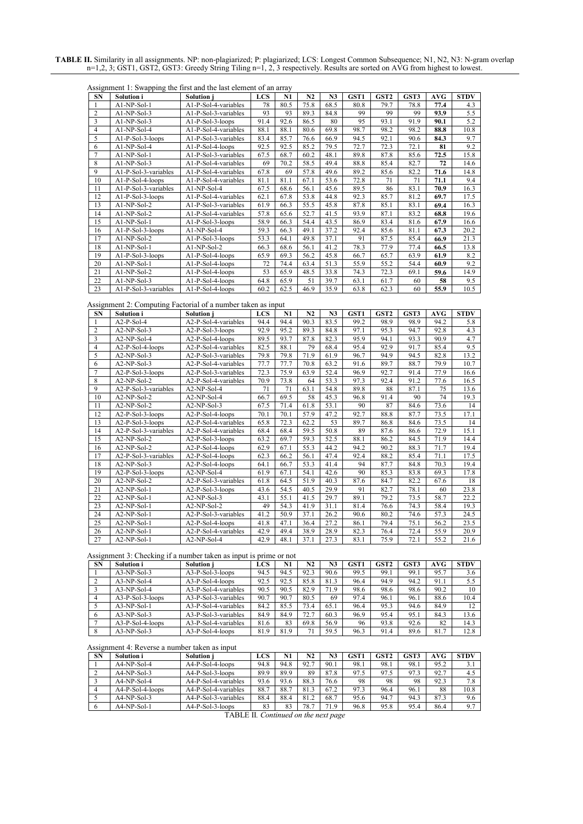#### **TABLE II.** Similarity in all assignments. NP: non-plagiarized; P: plagiarized; LCS: Longest Common Subsequence; N1, N2, N3: N-gram overlap n=1,2, 3; GST1, GST2, GST3: Greedy String Tiling n=1, 2, 3 respectively. Results are sorted on AVG from highest to lowest.

| Assignment 1: Swapping the first and the last element of an array |  |  |  |  |  |  |
|-------------------------------------------------------------------|--|--|--|--|--|--|
|                                                                   |  |  |  |  |  |  |

| <b>SN</b>      | - - - - - - - - <del>-</del><br>Solution i | <b>Solution</b> i    | <b>LCS</b> | N1   | N2   | N <sub>3</sub> | GST <sub>1</sub> | GST <sub>2</sub> | GST3 | AVG  | <b>STDV</b> |
|----------------|--------------------------------------------|----------------------|------------|------|------|----------------|------------------|------------------|------|------|-------------|
|                | $A1-NP-Sol-1$                              | A1-P-Sol-4-variables | 78         | 80.5 | 75.8 | 68.5           | 80.8             | 79.7             | 78.8 | 77.4 | 4.3         |
| $\overline{2}$ | $A1-NP-Sol-3$                              | A1-P-Sol-3-variables | 93         | 93   | 89.3 | 84.8           | 99               | 99               | 99   | 93.9 | 5.5         |
| 3              | $AI-NP-Sol-3$                              | A1-P-Sol-3-loops     | 91.4       | 92.6 | 86.5 | 80             | 95               | 93.1             | 91.9 | 90.1 | 5.2         |
| 4              | A1-NP-Sol-4                                | A1-P-Sol-4-variables | 88.1       | 88.1 | 80.6 | 69.8           | 98.7             | 98.2             | 98.2 | 88.8 | 10.8        |
| 5              | $A1-P-Sol-3-loops$                         | A1-P-Sol-3-variables | 83.4       | 85.7 | 76.6 | 66.9           | 94.5             | 92.1             | 90.6 | 84.3 | 9.7         |
| 6              | $A1-NP-Sol-4$                              | A1-P-Sol-4-loops     | 92.5       | 92.5 | 85.2 | 79.5           | 72.7             | 72.3             | 72.1 | 81   | 9.2         |
| $\overline{7}$ | A1-NP-Sol-1                                | A1-P-Sol-3-variables | 67.5       | 68.7 | 60.2 | 48.1           | 89.8             | 87.8             | 85.6 | 72.5 | 15.8        |
| 8              | $A1-NP-Sol-3$                              | A1-P-Sol-4-variables | 69         | 70.2 | 58.5 | 49.4           | 88.8             | 85.4             | 82.7 | 72   | 14.6        |
| 9              | A1-P-Sol-3-variables                       | A1-P-Sol-4-variables | 67.8       | 69   | 57.8 | 49.6           | 89.2             | 85.6             | 82.2 | 71.6 | 14.8        |
| 10             | A1-P-Sol-4-loops                           | A1-P-Sol-4-variables | 81.1       | 81.1 | 67.1 | 53.6           | 72.8             | 71               | 71   | 71.1 | 9.4         |
| 11             | A1-P-Sol-3-variables                       | $A1-NP-Sol-4$        | 67.5       | 68.6 | 56.1 | 45.6           | 89.5             | 86               | 83.1 | 70.9 | 16.3        |
| 12             | A1-P-Sol-3-loops                           | A1-P-Sol-4-variables | 62.1       | 67.8 | 53.8 | 44.8           | 92.3             | 85.7             | 81.2 | 69.7 | 17.5        |
| 13             | $A1-NP-Sol-2$                              | A1-P-Sol-3-variables | 61.9       | 66.3 | 55.5 | 45.8           | 87.8             | 85.1             | 83.1 | 69.4 | 16.3        |
| 14             | $A1-NP-Sol-2$                              | A1-P-Sol-4-variables | 57.8       | 65.6 | 52.7 | 41.5           | 93.9             | 87.1             | 83.2 | 68.8 | 19.6        |
| 15             | $A1-NP-Sol-1$                              | $A1-P-Sol-3-loops$   | 58.9       | 66.3 | 54.4 | 43.5           | 86.9             | 83.4             | 81.6 | 67.9 | 16.6        |
| 16             | A1-P-Sol-3-loops                           | $A1-NP-Sol-4$        | 59.3       | 66.3 | 49.1 | 37.2           | 92.4             | 85.6             | 81.1 | 67.3 | 20.2        |
| 17             | $AI-NP-Sol-2$                              | A1-P-Sol-3-loops     | 53.3       | 64.1 | 49.8 | 37.1           | 91               | 87.5             | 85.4 | 66.9 | 21.3        |
| 18             | $A1-NP-Sol-1$                              | A1-NP-Sol-2          | 66.3       | 68.6 | 56.1 | 41.2           | 78.3             | 77.9             | 77.4 | 66.5 | 13.8        |
| 19             | A1-P-Sol-3-loops                           | A1-P-Sol-4-loops     | 65.9       | 69.3 | 56.2 | 45.8           | 66.7             | 65.7             | 63.9 | 61.9 | 8.2         |
| 20             | $AI-NP-Sol-1$                              | A1-P-Sol-4-loops     | 72         | 74.4 | 63.4 | 51.3           | 55.9             | 55.2             | 54.4 | 60.9 | 9.2         |
| 21             | $A1-NP-Sol-2$                              | A1-P-Sol-4-loops     | 53         | 65.9 | 48.5 | 33.8           | 74.3             | 72.3             | 69.1 | 59.6 | 14.9        |
| 22             | $A1-NP-Sol-3$                              | A1-P-Sol-4-loops     | 64.8       | 65.9 | 51   | 39.7           | 63.1             | 61.7             | 60   | 58   | 9.5         |
| 23             | A1-P-Sol-3-variables                       | A1-P-Sol-4-loops     | 60.2       | 62.5 | 46.9 | 35.9           | 63.8             | 62.3             | 60   | 55.9 | 10.5        |

Assignment 2: Computing Factorial of a number taken as input

| <b>SN</b>      | Solution i           | Solution j           | <b>LCS</b> | N1   | N2   | N <sub>3</sub> | GST1 | GST <sub>2</sub> | GST3 | <b>AVG</b> | <b>STDV</b> |
|----------------|----------------------|----------------------|------------|------|------|----------------|------|------------------|------|------------|-------------|
|                | $A2-P-Sol-4$         | A2-P-Sol-4-variables | 94.4       | 94.4 | 90.3 | 83.5           | 99.2 | 98.9             | 98.9 | 94.2       | 5.8         |
| $\overline{2}$ | $A2-NP-Sol-3$        | A2-P-Sol-3-loops     | 92.9       | 95.2 | 89.3 | 84.8           | 97.1 | 95.3             | 94.7 | 92.8       | 4.3         |
| 3              | $A2-NP-Sol-4$        | A2-P-Sol-4-loops     | 89.5       | 93.7 | 87.8 | 82.3           | 95.9 | 94.1             | 93.3 | 90.9       | 4.7         |
| $\overline{4}$ | A2-P-Sol-4-loops     | A2-P-Sol-4-variables | 82.5       | 88.1 | 79   | 68.4           | 95.4 | 92.9             | 91.7 | 85.4       | 9.5         |
| 5              | $A2-NP-Sol-3$        | A2-P-Sol-3-variables | 79.8       | 79.8 | 71.9 | 61.9           | 96.7 | 94.9             | 94.5 | 82.8       | 13.2        |
| 6              | $A2-NP-Sol-3$        | A2-P-Sol-4-variables | 77.7       | 77.7 | 70.8 | 63.2           | 91.6 | 89.7             | 88.7 | 79.9       | 10.7        |
| $\overline{7}$ | A2-P-Sol-3-loops     | A2-P-Sol-3-variables | 72.3       | 75.9 | 63.9 | 52.4           | 96.9 | 92.7             | 91.4 | 77.9       | 16.6        |
| 8              | $A2-NP-Sol-2$        | A2-P-Sol-4-variables | 70.9       | 73.8 | 64   | 53.3           | 97.3 | 92.4             | 91.2 | 77.6       | 16.5        |
| 9              | A2-P-Sol-3-variables | A2-NP-Sol-4          | 71         | 71   | 63.1 | 54.8           | 89.8 | 88               | 87.1 | 75         | 13.6        |
| 10             | A2-NP-Sol-2          | A2-NP-Sol-4          | 66.7       | 69.5 | 58   | 45.3           | 96.8 | 91.4             | 90   | 74         | 19.3        |
| 11             | $A2-NP-Sol-2$        | $A2-NP-Sol-3$        | 67.5       | 71.4 | 61.8 | 53.1           | 90   | 87               | 84.6 | 73.6       | 14          |
| 12             | A2-P-Sol-3-loops     | A2-P-Sol-4-loops     | 70.1       | 70.1 | 57.9 | 47.2           | 92.7 | 88.8             | 87.7 | 73.5       | 17.1        |
| 13             | A2-P-Sol-3-loops     | A2-P-Sol-4-variables | 65.8       | 72.3 | 62.2 | 53             | 89.7 | 86.8             | 84.6 | 73.5       | 14          |
| 14             | A2-P-Sol-3-variables | A2-P-Sol-4-variables | 68.4       | 68.4 | 59.5 | 50.8           | 89   | 87.6             | 86.6 | 72.9       | 15.1        |
| 15             | A2-NP-Sol-2          | A2-P-Sol-3-loops     | 63.2       | 69.7 | 59.3 | 52.5           | 88.1 | 86.2             | 84.5 | 71.9       | 14.4        |
| 16             | $A2-NP-Sol-2$        | A2-P-Sol-4-loops     | 62.9       | 67.1 | 55.3 | 44.2           | 94.2 | 90.2             | 88.3 | 71.7       | 19.4        |
| 17             | A2-P-Sol-3-variables | A2-P-Sol-4-loops     | 62.3       | 66.2 | 56.1 | 47.4           | 92.4 | 88.2             | 85.4 | 71.1       | 17.5        |
| 18             | $A2-NP-Sol-3$        | A2-P-Sol-4-loops     | 64.1       | 66.7 | 53.3 | 41.4           | 94   | 87.7             | 84.8 | 70.3       | 19.4        |
| 19             | A2-P-Sol-3-loops     | A2-NP-Sol-4          | 61.9       | 67.1 | 54.1 | 42.6           | 90   | 85.3             | 83.8 | 69.3       | 17.8        |
| 20             | $A2-NP-Sol-2$        | A2-P-Sol-3-variables | 61.8       | 64.5 | 51.9 | 40.3           | 87.6 | 84.7             | 82.2 | 67.6       | 18          |
| 21             | $A2-NP-Sol-1$        | A2-P-Sol-3-loops     | 43.6       | 54.5 | 40.5 | 29.9           | 91   | 82.7             | 78.1 | 60         | 23.8        |
| 22             | A2-NP-Sol-1          | $A2-NP-Sol-3$        | 43.1       | 55.1 | 41.5 | 29.7           | 89.1 | 79.2             | 73.5 | 58.7       | 22.2        |
| 23             | A2-NP-Sol-1          | $A2-NP-Sol-2$        | 49         | 54.3 | 41.9 | 31.1           | 81.4 | 76.6             | 74.3 | 58.4       | 19.3        |
| 24             | A2-NP-Sol-1          | A2-P-Sol-3-variables | 41.2       | 50.9 | 37.1 | 26.2           | 90.6 | 80.2             | 74.6 | 57.3       | 24.5        |
| 25             | A2-NP-Sol-1          | A2-P-Sol-4-loops     | 41.8       | 47.1 | 36.4 | 27.2           | 86.1 | 79.4             | 75.1 | 56.2       | 23.5        |
| 26             | $A2-NP-Sol-1$        | A2-P-Sol-4-variables | 42.9       | 49.4 | 38.9 | 28.9           | 82.3 | 76.4             | 72.4 | 55.9       | 20.9        |
| 27             | $A2-NP-Sol-1$        | A2-NP-Sol-4          | 42.9       | 48.1 | 37.1 | 27.3           | 83.1 | 75.9             | 72.1 | 55.2       | 21.6        |

Assignment 3: Checking if a number taken as input is prime or not

| <b>SN</b> | Solution i       | <b>Solution</b> i    | <b>LCS</b> | N1   | N2   | N <sub>3</sub> | GST <sub>1</sub> | GST <sub>2</sub> | GST3 | AVG  | <b>STDV</b> |
|-----------|------------------|----------------------|------------|------|------|----------------|------------------|------------------|------|------|-------------|
|           | $A3-NP-Sol-3$    | $A3-P-Sol-3-loops$   | 94.5       | 94.5 | 92.3 | 90.6           | 99.5             | 99.1             | 99.1 | 95.7 | 3.6         |
|           | $A3-NP-Sol-4$    | A3-P-Sol-4-loops     | 92.5       | 92.5 | 85.8 | 81.3           | 96.4             | 94.9             | 94.2 | 91.1 | 5.5         |
|           | $A3-NP-Sol-4$    | A3-P-Sol-4-variables | 90.5       | 90.5 | 82.9 | 71.9           | 98.6             | 98.6             | 98.6 | 90.2 |             |
|           | A3-P-Sol-3-loops | A3-P-Sol-3-variables | 90.7       | 90.7 | 80.5 | 69             | 97.4             | 96.1             | 96.1 | 88.6 | 10.4        |
|           | $A3-NP-Sol-1$    | A3-P-Sol-4-variables | 84.2       | 85.5 | 73.4 | 65.1           | 96.4             | 95.3             | 94.6 | 84.9 |             |
|           | $A3-NP-Sol-3$    | A3-P-Sol-3-variables | 84.9       | 84.9 | 72.7 | 60.3           | 96.9             | 95.4             | 95.1 | 84.3 | 13.6        |
|           | A3-P-Sol-4-loops | A3-P-Sol-4-variables | 81.6       | 83   | 69.8 | 56.9           | 96               | 93.8             | 92.6 | 82   | 14.3        |
|           | $A3-NP-Sol-3$    | $A3-P-Sol-4-loops$   | 81.9       | 81.9 | 71   | 59.5           | 96.3             | 91.4             | 89.6 | 81.7 | 12.8        |

## Assignment 4: Reverse a number taken as input

| <b>SN</b> | Solution i       | Solution i           | <b>LCS</b> | N1   | N2   | N3   | GST  | GST <sub>2</sub> | GST3 | AVG  | STDV |
|-----------|------------------|----------------------|------------|------|------|------|------|------------------|------|------|------|
|           | $A4-NP-Sol-4$    | A4-P-Sol-4-loops     | 94.8       | 94.8 | 92.7 | 90.  | 98.1 | 98.1             | 98.1 | 95.2 | .    |
|           | $A4-NP-Sol-3$    | A4-P-Sol-3-loops     | 89.9       | 89.9 | 89   | 87.8 | 97.5 | 97.5             | 97.3 | 92.7 | 4.5  |
|           | $A4-NP-Sol-4$    | A4-P-Sol-4-variables | 93.6       | 93.6 | 88.3 | 76.6 | 98   | 98               | 98   | 92.3 | 7.8  |
|           | A4-P-Sol-4-loops | A4-P-Sol-4-variables | 88.7       | 88.7 | 81.3 | 67.2 | 97.3 | 96.4             | 96.1 | 88   | 10.8 |
|           | $A4-NP-Sol-3$    | A4-P-Sol-3-variables | 88.4       | 88.4 | 81.2 | 68.7 | 95.6 | 94.7             | 94.3 | 87.3 | 9.6  |
|           | $A4-NP-Sol-1$    | $A4-P-Sol-3-loops$   | 83         | 83   | 78.7 | 71.9 | 96.8 | 95.8             | 95.4 | 86.4 | 9.7  |

TABLE II*. Continued on the next page*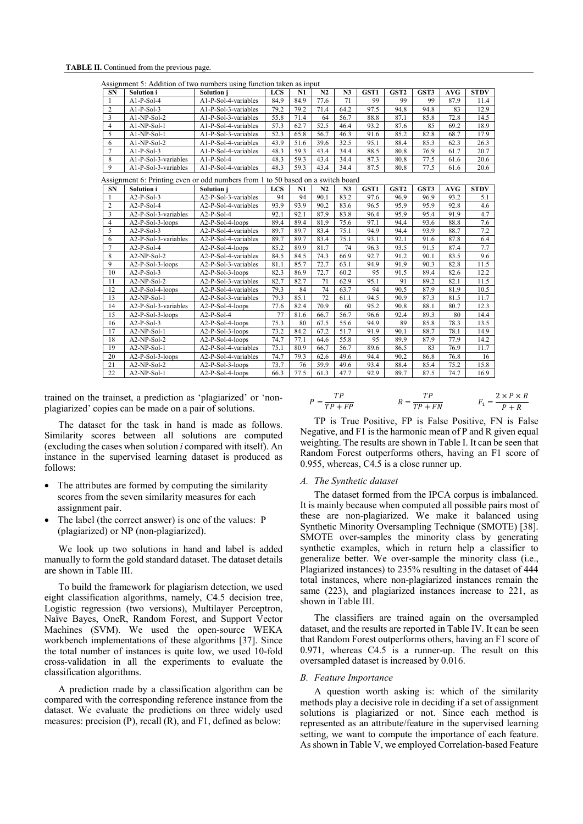# **TABLE II.** Continued from the previous page.

| <b>SN</b>               | Solution i                                                                      | <b>Solution</b> i    | <b>LCS</b> | N1   | N <sub>2</sub> | N <sub>3</sub> | GST <sub>1</sub> | GST <sub>2</sub> | GST3 | AVG        | <b>STDV</b>      |
|-------------------------|---------------------------------------------------------------------------------|----------------------|------------|------|----------------|----------------|------------------|------------------|------|------------|------------------|
| $\mathbf{1}$            | $A1-P-Sol-4$                                                                    | A1-P-Sol-4-variables | 84.9       | 84.9 | 77.6           | 71             | 99               | 99               | 99   | 87.9       | 11.4             |
| $\overline{2}$          | $A1-P-Sol-3$                                                                    | A1-P-Sol-3-variables | 79.2       | 79.2 | 71.4           | 64.2           | 97.5             | 94.8             | 94.8 | 83         | 12.9             |
| 3                       | A1-NP-Sol-2                                                                     | A1-P-Sol-3-variables | 55.8       | 71.4 | 64             | 56.7           | 88.8             | 87.1             | 85.8 | 72.8       | 14.5             |
| $\overline{4}$          | A1-NP-Sol-1                                                                     | A1-P-Sol-4-variables | 57.3       | 62.7 | 52.5           | 46.4           | 93.2             | 87.6             | 85   | 69.2       | 18.9             |
| 5                       | A1-NP-Sol-1                                                                     | A1-P-Sol-3-variables | 52.3       | 65.8 | 56.7           | 46.3           | 91.6             | 85.2             | 82.8 | 68.7       | 17.9             |
| 6                       | A1-NP-Sol-2                                                                     | A1-P-Sol-4-variables | 43.9       | 51.6 | 39.6           | 32.5           | 95.1             | 88.4             | 85.3 | 62.3       | 26.3             |
| $\overline{7}$          | $Al-P-Sol-3$                                                                    | A1-P-Sol-4-variables | 48.3       | 59.3 | 43.4           | 34.4           | 88.5             | 80.8             | 76.9 | 61.7       | 20.7             |
| 8                       | A1-P-Sol-3-variables                                                            | $A1-P-Sol-4$         | 48.3       | 59.3 | 43.4           | 34.4           | 87.3             | 80.8             | 77.5 | 61.6       | 20.6             |
| $\overline{9}$          | A1-P-Sol-3-variables                                                            | A1-P-Sol-4-variables | 48.3       | 59.3 | 43.4           | 34.4           | 87.5             | 80.8             | 77.5 | 61.6       | 20.6             |
|                         | Assignment 6: Printing even or odd numbers from 1 to 50 based on a switch board |                      |            |      |                |                |                  |                  |      |            |                  |
| <b>SN</b>               | Solution i                                                                      | Solution j           | <b>LCS</b> | N1   | N <sub>2</sub> | N <sub>3</sub> | GST1             | GST <sub>2</sub> | GST3 | <b>AVG</b> | STD <sub>V</sub> |
| $\overline{1}$          | $A2-P-Sol-3$                                                                    | A2-P-Sol-3-variables | 94         | 94   | 90.1           | 83.2           | 97.6             | 96.9             | 96.9 | 93.2       | 5.1              |
| $\overline{2}$          | A2-P-Sol-4                                                                      | A2-P-Sol-4-variables | 93.9       | 93.9 | 90.2           | 83.6           | 96.5             | 95.9             | 95.9 | 92.8       | 4.6              |
| $\overline{\mathbf{3}}$ | A2-P-Sol-3-variables                                                            | $A2-P-Sol-4$         | 92.1       | 92.1 | 87.9           | 83.8           | 96.4             | 95.9             | 95.4 | 91.9       | 4.7              |
| $\overline{4}$          | A2-P-Sol-3-loops                                                                | A2-P-Sol-4-loops     | 89.4       | 89.4 | 81.9           | 75.6           | 97.1             | 94.4             | 93.6 | 88.8       | 7.6              |
| 5                       | $A2-P-Sol-3$                                                                    | A2-P-Sol-4-variables | 89.7       | 89.7 | 83.4           | 75.1           | 94.9             | 94.4             | 93.9 | 88.7       | 7.2              |
| 6                       | A2-P-Sol-3-variables                                                            | A2-P-Sol-4-variables | 89.7       | 89.7 | 83.4           | 75.1           | 93.1             | 92.1             | 91.6 | 87.8       | 6.4              |
| $\overline{7}$          | $A2-P-Sol-4$                                                                    | A2-P-Sol-4-loops     | 85.2       | 89.9 | 81.7           | 74             | 96.3             | 93.5             | 91.5 | 87.4       | 7.7              |
| 8                       | A2-NP-Sol-2                                                                     | A2-P-Sol-4-variables | 84.5       | 84.5 | 74.3           | 66.9           | 92.7             | 91.2             | 90.1 | 83.5       | 9.6              |
| 9                       | A2-P-Sol-3-loops                                                                | A2-P-Sol-3-variables | 81.1       | 85.7 | 72.7           | 63.1           | 94.9             | 91.9             | 90.3 | 82.8       | 11.5             |
| 10                      | $A2-P-Sol-3$                                                                    | A2-P-Sol-3-loops     | 82.3       | 86.9 | 72.7           | 60.2           | 95               | 91.5             | 89.4 | 82.6       | 12.2             |
| 11                      | A2-NP-Sol-2                                                                     | A2-P-Sol-3-variables | 82.7       | 82.7 | 71             | 62.9           | 95.1             | 91               | 89.2 | 82.1       | 11.5             |
| 12                      | A2-P-Sol-4-loops                                                                | A2-P-Sol-4-variables | 79.3       | 84   | 74             | 63.7           | 94               | 90.5             | 87.9 | 81.9       | 10.5             |
| 13                      | $A2-NP-Sol-1$                                                                   | A2-P-Sol-3-variables | 79.3       | 85.1 | 72             | 61.1           | 94.5             | 90.9             | 87.3 | 81.5       | 11.7             |
| 14                      | A2-P-Sol-3-variables                                                            | A2-P-Sol-4-loops     | 77.6       | 82.4 | 70.9           | 60             | 95.2             | 90.8             | 88.1 | 80.7       | 12.3             |
| 15                      | A2-P-Sol-3-loops                                                                | $A2-P-Sol-4$         | 77         | 81.6 | 66.7           | 56.7           | 96.6             | 92.4             | 89.3 | 80         | 14.4             |
| 16                      | $A2-P-Sol-3$                                                                    | A2-P-Sol-4-loops     | 75.3       | 80   | 67.5           | 55.6           | 94.9             | 89               | 85.8 | 78.3       | 13.5             |
| 17                      | A2-NP-Sol-1                                                                     | A2-P-Sol-3-loops     | 73.2       | 84.2 | 67.2           | 51.7           | 91.9             | 90.1             | 88.7 | 78.1       | 14.9             |
| 18                      | $A2-NP-Sol-2$                                                                   | A2-P-Sol-4-loops     | 74.7       | 77.1 | 64.6           | 55.8           | 95               | 89.9             | 87.9 | 77.9       | 14.2             |
| 19                      | $A2-NP-Sol-1$                                                                   | A2-P-Sol-4-variables | 75.1       | 80.9 | 66.7           | 56.7           | 89.6             | 86.5             | 83   | 76.9       | 11.7             |
| 20                      | A2-P-Sol-3-loops                                                                | A2-P-Sol-4-variables | 74.7       | 79.3 | 62.6           | 49.6           | 94.4             | 90.2             | 86.8 | 76.8       | 16               |
| 21                      | A2-NP-Sol-2                                                                     | A2-P-Sol-3-loops     | 73.7       | 76   | 59.9           | 49.6           | 93.4             | 88.4             | 85.4 | 75.2       | 15.8             |
| 22                      | $A2-NP-Sol-1$                                                                   | A2-P-Sol-4-loops     | 66.3       | 77.5 | 61.3           | 47.7           | 92.9             | 89.7             | 87.5 | 74.7       | 16.9             |

trained on the trainset, a prediction as 'plagiarized' or 'nonplagiarized' copies can be made on a pair of solutions.

The dataset for the task in hand is made as follows. Similarity scores between all solutions are computed (excluding the cases when solution *i* compared with itself). An instance in the supervised learning dataset is produced as follows:

- The attributes are formed by computing the similarity scores from the seven similarity measures for each assignment pair.
- The label (the correct answer) is one of the values: P (plagiarized) or NP (non-plagiarized).

We look up two solutions in hand and label is added manually to form the gold standard dataset. The dataset details are shown in Table III.

To build the framework for plagiarism detection, we used eight classification algorithms, namely, C4.5 decision tree, Logistic regression (two versions), Multilayer Perceptron, Naïve Bayes, OneR, Random Forest, and Support Vector Machines (SVM). We used the open-source WEKA workbench implementations of these algorithms [37]. Since the total number of instances is quite low, we used 10-fold cross-validation in all the experiments to evaluate the classification algorithms.

A prediction made by a classification algorithm can be compared with the corresponding reference instance from the dataset. We evaluate the predictions on three widely used measures: precision (P), recall (R), and F1, defined as below:

$$
P = \frac{TP}{TP + FP}
$$
  

$$
R = \frac{TP}{TP + FN}
$$
  

$$
F_1 = \frac{2 \times P \times R}{P + R}
$$

TP is True Positive, FP is False Positive, FN is False Negative, and F1 is the harmonic mean of P and R given equal weighting. The results are shown in Table I. It can be seen that Random Forest outperforms others, having an F1 score of 0.955, whereas, C4.5 is a close runner up.

#### *A. The Synthetic dataset*

The dataset formed from the IPCA corpus is imbalanced. It is mainly because when computed all possible pairs most of these are non-plagiarized. We make it balanced using Synthetic Minority Oversampling Technique (SMOTE) [38]. SMOTE over-samples the minority class by generating synthetic examples, which in return help a classifier to generalize better. We over-sample the minority class (i.e., Plagiarized instances) to 235% resulting in the dataset of 444 total instances, where non-plagiarized instances remain the same (223), and plagiarized instances increase to 221, as shown in Table III.

The classifiers are trained again on the oversampled dataset, and the results are reported in Table IV. It can be seen that Random Forest outperforms others, having an F1 score of 0.971, whereas C4.5 is a runner-up. The result on this oversampled dataset is increased by 0.016.

#### *B. Feature Importance*

A question worth asking is: which of the similarity methods play a decisive role in deciding if a set of assignment solutions is plagiarized or not. Since each method is represented as an attribute/feature in the supervised learning setting, we want to compute the importance of each feature. As shown in Table V, we employed Correlation-based Feature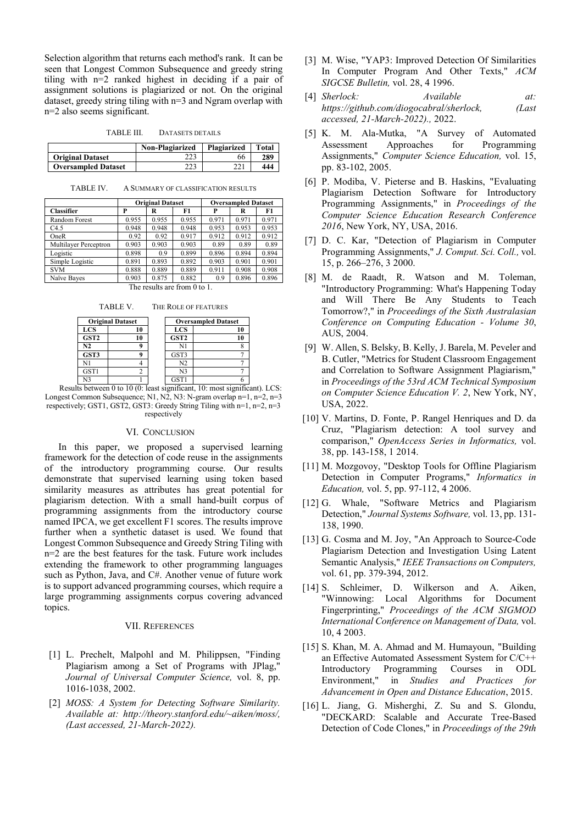Selection algorithm that returns each method's rank. It can be seen that Longest Common Subsequence and greedy string tiling with n=2 ranked highest in deciding if a pair of assignment solutions is plagiarized or not. On the original dataset, greedy string tiling with n=3 and Ngram overlap with n=2 also seems significant.

TABLE III. DATASETS DETAILS

|                            | <b>Non-Plagiarized</b> | Plagiarized | Total |
|----------------------------|------------------------|-------------|-------|
| <b>Original Dataset</b>    |                        | 66          | 289   |
| <b>Oversampled Dataset</b> |                        | 221         | 444   |

TABLE IV. A SUMMARY OF CLASSIFICATION RESULTS

|                       |       | <b>Original Dataset</b> |       | <b>Oversampled Dataset</b> |       |       |  |
|-----------------------|-------|-------------------------|-------|----------------------------|-------|-------|--|
| <b>Classifier</b>     | P     | R                       | F1    | P                          | R     | F1    |  |
| Random Forest         | 0.955 | 0.955                   | 0.955 | 0.971                      | 0.971 | 0.971 |  |
| C4.5                  | 0.948 | 0.948                   | 0.948 | 0.953                      | 0.953 | 0.953 |  |
| OneR                  | 0.92  | 0.92                    | 0.917 | 0.912                      | 0.912 | 0.912 |  |
| Multilayer Perceptron | 0.903 | 0.903                   | 0.903 | 0.89                       | 0.89  | 0.89  |  |
| Logistic              | 0.898 | 0.9                     | 0.899 | 0.896                      | 0.894 | 0.894 |  |
| Simple Logistic       | 0.891 | 0.893                   | 0.892 | 0.903                      | 0.901 | 0.901 |  |
| <b>SVM</b>            | 0.888 | 0.889                   | 0.889 | 0.911                      | 0.908 | 0.908 |  |
| Naïve Bayes           | 0.903 | 0.875                   | 0.882 | 0.9                        | 0.896 | 0.896 |  |
| $TL = 1$              |       |                         |       |                            |       |       |  |

The results are from 0 to 1.

TABLE V. THE ROLE OF FEATURES

| <b>Original Dataset</b> | <b>Oversampled Dataset</b> |                  |    |
|-------------------------|----------------------------|------------------|----|
| <b>LCS</b>              | 10                         | <b>LCS</b>       | 10 |
| GST <sub>2</sub>        | 10                         | GST <sub>2</sub> | 10 |
| N <sub>2</sub>          |                            | N1               |    |
| GST3                    |                            | GST3             |    |
| N1                      |                            | N <sub>2</sub>   |    |
| GST1                    |                            | N <sub>3</sub>   |    |
| N3                      |                            | GST1             |    |

Results between 0 to 10 (0: least significant, 10: most significant). LCS: Longest Common Subsequence; N1, N2, N3: N-gram overlap n=1, n=2, n=3 respectively; GST1, GST2, GST3: Greedy String Tiling with n=1, n=2, n=3 respectively

#### VI. CONCLUSION

In this paper, we proposed a supervised learning framework for the detection of code reuse in the assignments of the introductory programming course. Our results demonstrate that supervised learning using token based similarity measures as attributes has great potential for plagiarism detection. With a small hand-built corpus of programming assignments from the introductory course named IPCA, we get excellent F1 scores. The results improve further when a synthetic dataset is used. We found that Longest Common Subsequence and Greedy String Tiling with n=2 are the best features for the task. Future work includes extending the framework to other programming languages such as Python, Java, and C#. Another venue of future work is to support advanced programming courses, which require a large programming assignments corpus covering advanced topics.

## VII. REFERENCES

- [1] L. Prechelt, Malpohl and M. Philippsen, "Finding Plagiarism among a Set of Programs with JPlag," *Journal of Universal Computer Science,* vol. 8, pp. 1016-1038, 2002.
- [2] *MOSS: A System for Detecting Software Similarity. Available at: http://theory.stanford.edu/~aiken/moss/, (Last accessed, 21-March-2022).*
- [3] M. Wise, "YAP3: Improved Detection Of Similarities In Computer Program And Other Texts," *ACM SIGCSE Bulletin,* vol. 28, 4 1996.
- [4] *Sherlock: Available at: https://github.com/diogocabral/sherlock, (Last accessed, 21-March-2022).,* 2022.
- [5] K. M. Ala-Mutka, "A Survey of Automated Assessment Approaches for Programming Assignments," *Computer Science Education,* vol. 15, pp. 83-102, 2005.
- [6] P. Modiba, V. Pieterse and B. Haskins, "Evaluating Plagiarism Detection Software for Introductory Programming Assignments," in *Proceedings of the Computer Science Education Research Conference 2016*, New York, NY, USA, 2016.
- [7] D. C. Kar, "Detection of Plagiarism in Computer Programming Assignments," *J. Comput. Sci. Coll.,* vol. 15, p. 266–276, 3 2000.
- [8] M. de Raadt, R. Watson and M. Toleman, "Introductory Programming: What's Happening Today and Will There Be Any Students to Teach Tomorrow?," in *Proceedings of the Sixth Australasian Conference on Computing Education - Volume 30*, AUS, 2004.
- [9] W. Allen, S. Belsky, B. Kelly, J. Barela, M. Peveler and B. Cutler, "Metrics for Student Classroom Engagement and Correlation to Software Assignment Plagiarism," in *Proceedings of the 53rd ACM Technical Symposium on Computer Science Education V. 2*, New York, NY, USA, 2022.
- [10] V. Martins, D. Fonte, P. Rangel Henriques and D. da Cruz, "Plagiarism detection: A tool survey and comparison," *OpenAccess Series in Informatics,* vol. 38, pp. 143-158, 1 2014.
- [11] M. Mozgovoy, "Desktop Tools for Offline Plagiarism Detection in Computer Programs," *Informatics in Education,* vol. 5, pp. 97-112, 4 2006.
- [12] G. Whale, "Software Metrics and Plagiarism Detection," *Journal Systems Software,* vol. 13, pp. 131- 138, 1990.
- [13] G. Cosma and M. Joy, "An Approach to Source-Code Plagiarism Detection and Investigation Using Latent Semantic Analysis," *IEEE Transactions on Computers,*  vol. 61, pp. 379-394, 2012.
- [14] S. Schleimer, D. Wilkerson and A. Aiken, "Winnowing: Local Algorithms for Document Fingerprinting," *Proceedings of the ACM SIGMOD International Conference on Management of Data,* vol. 10, 4 2003.
- [15] S. Khan, M. A. Ahmad and M. Humayoun, "Building an Effective Automated Assessment System for C/C++ Introductory Programming Courses in ODL Environment," in *Studies and Practices for Advancement in Open and Distance Education*, 2015.
- [16] L. Jiang, G. Misherghi, Z. Su and S. Glondu, "DECKARD: Scalable and Accurate Tree-Based Detection of Code Clones," in *Proceedings of the 29th*